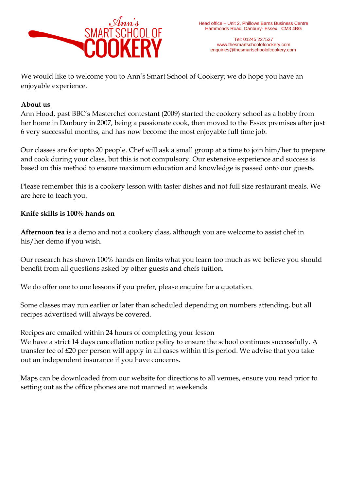

Tel: 01245 227527 www.thesmartschoolofcookery.com enquiries@thesmartschoolofcookery.com

We would like to welcome you to Ann's Smart School of Cookery; we do hope you have an enjoyable experience.

## **About us**

Ann Hood, past BBC's Masterchef contestant (2009) started the cookery school as a hobby from her home in Danbury in 2007, being a passionate cook, then moved to the Essex premises after just 6 very successful months, and has now become the most enjoyable full time job.

Our classes are for upto 20 people. Chef will ask a small group at a time to join him/her to prepare and cook during your class, but this is not compulsory. Our extensive experience and success is based on this method to ensure maximum education and knowledge is passed onto our guests.

Please remember this is a cookery lesson with taster dishes and not full size restaurant meals. We are here to teach you.

## **Knife skills is 100% hands on**

**Afternoon tea** is a demo and not a cookery class, although you are welcome to assist chef in his/her demo if you wish.

Our research has shown 100% hands on limits what you learn too much as we believe you should benefit from all questions asked by other guests and chefs tuition.

We do offer one to one lessons if you prefer, please enquire for a quotation.

Some classes may run earlier or later than scheduled depending on numbers attending, but all recipes advertised will always be covered.

Recipes are emailed within 24 hours of completing your lesson

We have a strict 14 days cancellation notice policy to ensure the school continues successfully. A transfer fee of £20 per person will apply in all cases within this period. We advise that you take out an independent insurance if you have concerns.

Maps can be downloaded from our website for directions to all venues, ensure you read prior to setting out as the office phones are not manned at weekends.